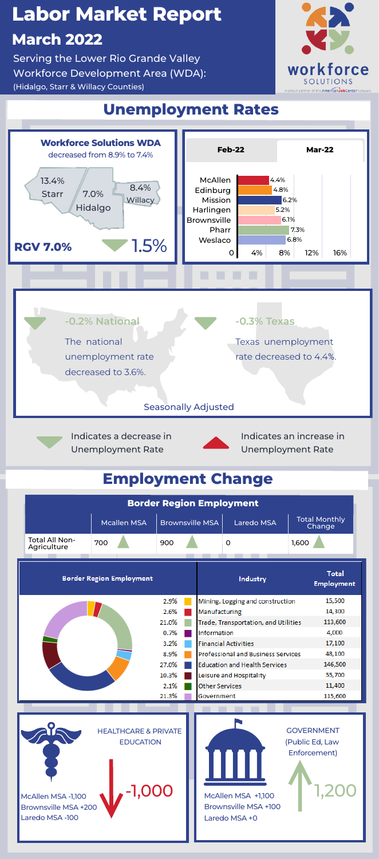## **Unemployment Rates**

# **Labor Market Report March 2022**

Serving the Lower Rio Grande Valley Workforce Development Area (WDA): (Hidalgo, Starr & Willacy Counties)

**Agriculture**